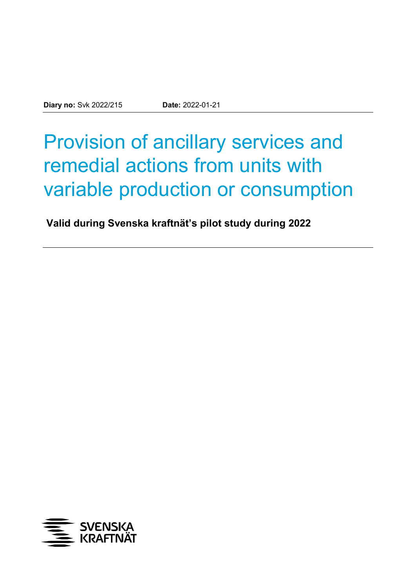# Provision of ancillary services and remedial actions from units with variable production or consumption

**Valid during Svenska kraftnät's pilot study during 2022**

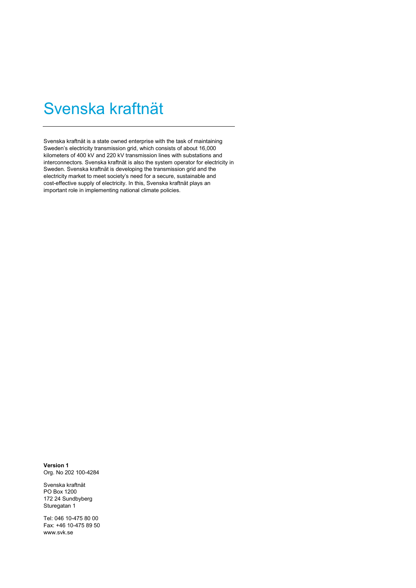# Svenska kraftnät

Svenska kraftnät is a state owned enterprise with the task of maintaining Sweden's electricity transmission grid, which consists of about 16,000 kilometers of 400 kV and 220 kV transmission lines with substations and interconnectors. Svenska kraftnät is also the system operator for electricity in Sweden. Svenska kraftnät is developing the transmission grid and the electricity market to meet society's need for a secure, sustainable and cost-effective supply of electricity. In this, Svenska kraftnät plays an important role in implementing national climate policies.

**Version 1** Org. No 202 100-4284

Svenska kraftnät PO Box 1200 172 24 Sundbyberg Sturegatan 1

Tel: 046 10-475 80 00 Fax: +46 10-475 89 50 www.svk.se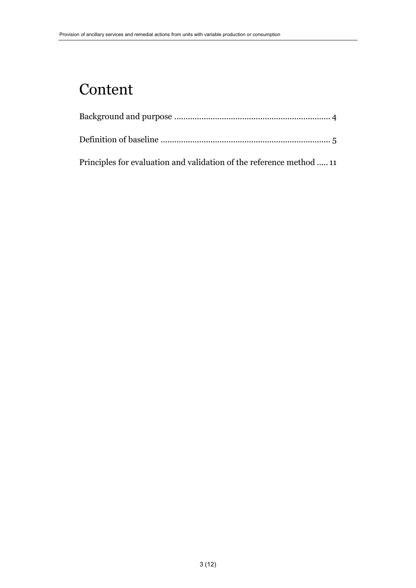# Content

| Principles for evaluation and validation of the reference method  11 |
|----------------------------------------------------------------------|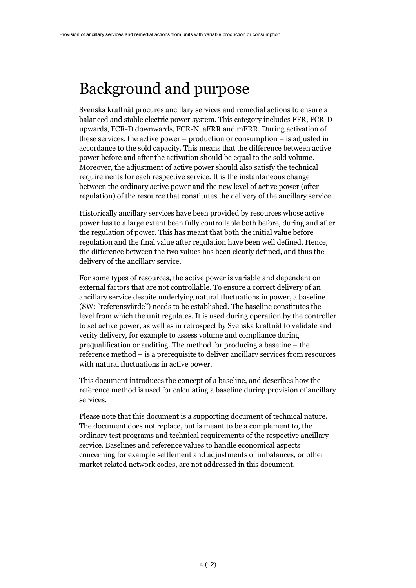### <span id="page-3-0"></span>Background and purpose

Svenska kraftnät procures ancillary services and remedial actions to ensure a balanced and stable electric power system. This category includes FFR, FCR-D upwards, FCR-D downwards, FCR-N, aFRR and mFRR. During activation of these services, the active power – production or consumption – is adjusted in accordance to the sold capacity. This means that the difference between active power before and after the activation should be equal to the sold volume. Moreover, the adjustment of active power should also satisfy the technical requirements for each respective service. It is the instantaneous change between the ordinary active power and the new level of active power (after regulation) of the resource that constitutes the delivery of the ancillary service.

Historically ancillary services have been provided by resources whose active power has to a large extent been fully controllable both before, during and after the regulation of power. This has meant that both the initial value before regulation and the final value after regulation have been well defined. Hence, the difference between the two values has been clearly defined, and thus the delivery of the ancillary service.

For some types of resources, the active power is variable and dependent on external factors that are not controllable. To ensure a correct delivery of an ancillary service despite underlying natural fluctuations in power, a baseline (SW: "referensvärde") needs to be established. The baseline constitutes the level from which the unit regulates. It is used during operation by the controller to set active power, as well as in retrospect by Svenska kraftnät to validate and verify delivery, for example to assess volume and compliance during prequalification or auditing. The method for producing a baseline – the reference method – is a prerequisite to deliver ancillary services from resources with natural fluctuations in active power.

This document introduces the concept of a baseline, and describes how the reference method is used for calculating a baseline during provision of ancillary services.

Please note that this document is a supporting document of technical nature. The document does not replace, but is meant to be a complement to, the ordinary test programs and technical requirements of the respective ancillary service. Baselines and reference values to handle economical aspects concerning for example settlement and adjustments of imbalances, or other market related network codes, are not addressed in this document.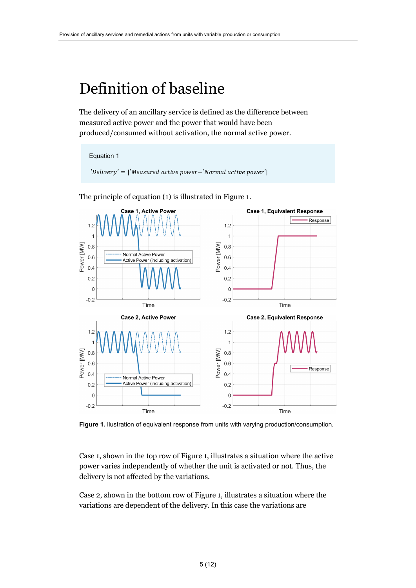# <span id="page-4-0"></span>Definition of baseline

The delivery of an ancillary service is defined as the difference between measured active power and the power that would have been produced/consumed without activation, the normal active power.





The principle of equation (1) is illustrated in Figure 1.

**Figure 1.** llustration of equivalent response from units with varying production/consumption.

Case 1, shown in the top row of Figure 1, illustrates a situation where the active power varies independently of whether the unit is activated or not. Thus, the delivery is not affected by the variations.

Case 2, shown in the bottom row of Figure 1, illustrates a situation where the variations are dependent of the delivery. In this case the variations are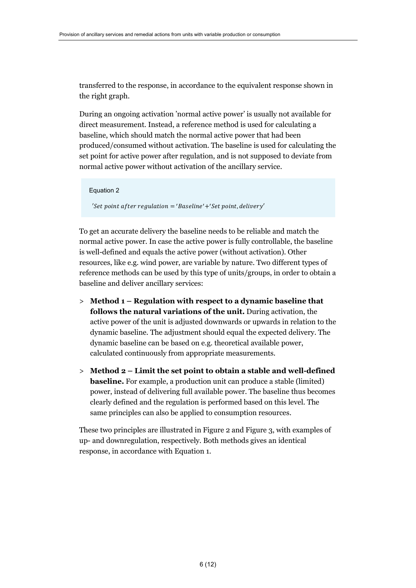transferred to the response, in accordance to the equivalent response shown in the right graph.

During an ongoing activation 'normal active power' is usually not available for direct measurement. Instead, a reference method is used for calculating a baseline, which should match the normal active power that had been produced/consumed without activation. The baseline is used for calculating the set point for active power after regulation, and is not supposed to deviate from normal active power without activation of the ancillary service.

```
Equation 2
'\! Set point af ter regulation = 'Baseline' +'Set point, delivery'
```
To get an accurate delivery the baseline needs to be reliable and match the normal active power. In case the active power is fully controllable, the baseline is well-defined and equals the active power (without activation). Other resources, like e.g. wind power, are variable by nature. Two different types of reference methods can be used by this type of units/groups, in order to obtain a baseline and deliver ancillary services:

- > **Method 1 – Regulation with respect to a dynamic baseline that follows the natural variations of the unit.** During activation, the active power of the unit is adjusted downwards or upwards in relation to the dynamic baseline. The adjustment should equal the expected delivery. The dynamic baseline can be based on e.g. theoretical available power, calculated continuously from appropriate measurements.
- > **Method 2 – Limit the set point to obtain a stable and well-defined baseline.** For example, a production unit can produce a stable (limited) power, instead of delivering full available power. The baseline thus becomes clearly defined and the regulation is performed based on this level. The same principles can also be applied to consumption resources.

These two principles are illustrated in Figure 2 and Figure 3, with examples of up- and downregulation, respectively. Both methods gives an identical response, in accordance with Equation 1.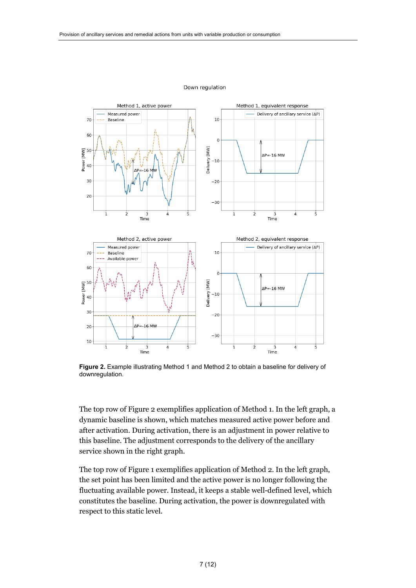

#### Down regulation

**Figure 2.** Example illustrating Method 1 and Method 2 to obtain a baseline for delivery of downregulation.

The top row of Figure 2 exemplifies application of Method 1. In the left graph, a dynamic baseline is shown, which matches measured active power before and after activation. During activation, there is an adjustment in power relative to this baseline. The adjustment corresponds to the delivery of the ancillary service shown in the right graph.

The top row of Figure 1 exemplifies application of Method 2. In the left graph, the set point has been limited and the active power is no longer following the fluctuating available power. Instead, it keeps a stable well-defined level, which constitutes the baseline. During activation, the power is downregulated with respect to this static level.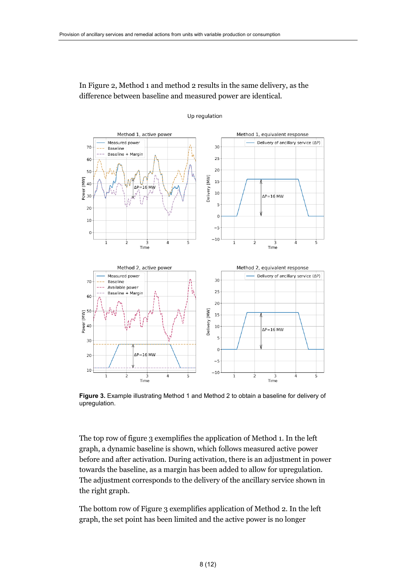In Figure 2, Method 1 and method 2 results in the same delivery, as the difference between baseline and measured power are identical.

Up regulation



**Figure 3.** Example illustrating Method 1 and Method 2 to obtain a baseline for delivery of upregulation.

The top row of figure 3 exemplifies the application of Method 1. In the left graph, a dynamic baseline is shown, which follows measured active power before and after activation. During activation, there is an adjustment in power towards the baseline, as a margin has been added to allow for upregulation. The adjustment corresponds to the delivery of the ancillary service shown in the right graph.

The bottom row of Figure 3 exemplifies application of Method 2. In the left graph, the set point has been limited and the active power is no longer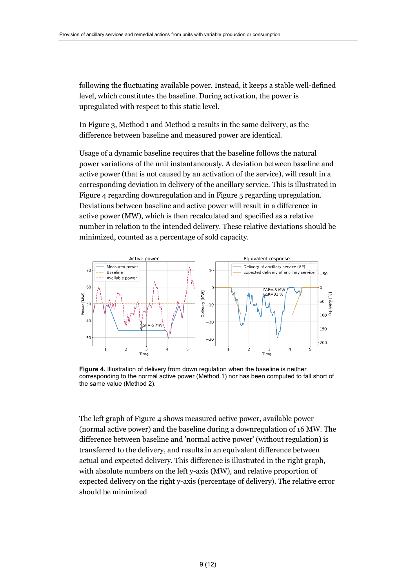following the fluctuating available power. Instead, it keeps a stable well-defined level, which constitutes the baseline. During activation, the power is upregulated with respect to this static level.

In Figure 3, Method 1 and Method 2 results in the same delivery, as the difference between baseline and measured power are identical.

Usage of a dynamic baseline requires that the baseline follows the natural power variations of the unit instantaneously. A deviation between baseline and active power (that is not caused by an activation of the service), will result in a corresponding deviation in delivery of the ancillary service. This is illustrated in Figure 4 regarding downregulation and in Figure 5 regarding upregulation. Deviations between baseline and active power will result in a difference in active power (MW), which is then recalculated and specified as a relative number in relation to the intended delivery. These relative deviations should be minimized, counted as a percentage of sold capacity.



**Figure 4.** Illustration of delivery from down regulation when the baseline is neither corresponding to the normal active power (Method 1) nor has been computed to fall short of the same value (Method 2).

The left graph of Figure 4 shows measured active power, available power (normal active power) and the baseline during a downregulation of 16 MW. The difference between baseline and 'normal active power' (without regulation) is transferred to the delivery, and results in an equivalent difference between actual and expected delivery. This difference is illustrated in the right graph, with absolute numbers on the left y-axis (MW), and relative proportion of expected delivery on the right y-axis (percentage of delivery). The relative error should be minimized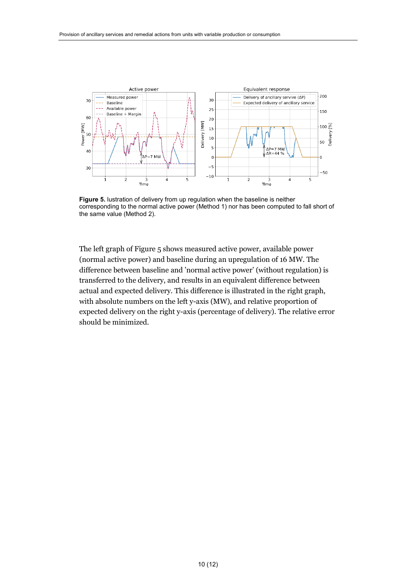

**Figure 5.** lustration of delivery from up regulation when the baseline is neither corresponding to the normal active power (Method 1) nor has been computed to fall short of the same value (Method 2).

The left graph of Figure 5 shows measured active power, available power (normal active power) and baseline during an upregulation of 16 MW. The difference between baseline and 'normal active power' (without regulation) is transferred to the delivery, and results in an equivalent difference between actual and expected delivery. This difference is illustrated in the right graph, with absolute numbers on the left y-axis (MW), and relative proportion of expected delivery on the right y-axis (percentage of delivery). The relative error should be minimized.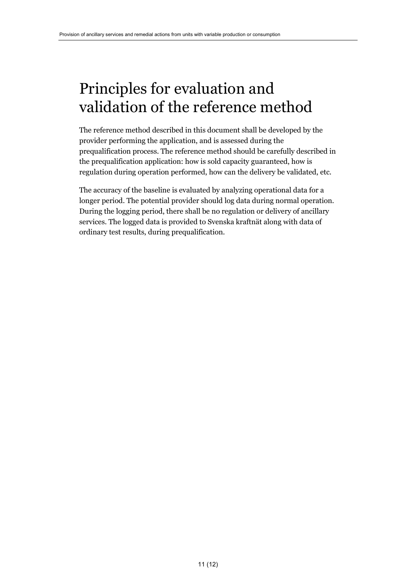### <span id="page-10-0"></span>Principles for evaluation and validation of the reference method

The reference method described in this document shall be developed by the provider performing the application, and is assessed during the prequalification process. The reference method should be carefully described in the prequalification application: how is sold capacity guaranteed, how is regulation during operation performed, how can the delivery be validated, etc.

The accuracy of the baseline is evaluated by analyzing operational data for a longer period. The potential provider should log data during normal operation. During the logging period, there shall be no regulation or delivery of ancillary services. The logged data is provided to Svenska kraftnät along with data of ordinary test results, during prequalification.